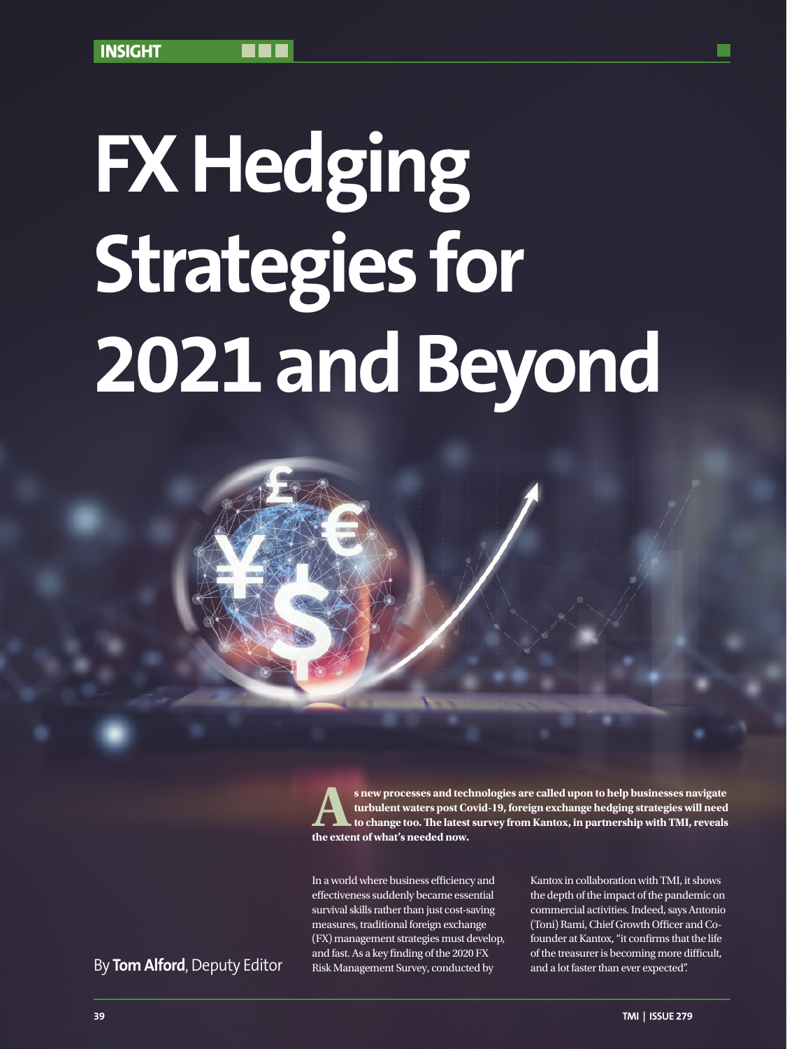# **FX Hedging Strategies for 2021 and Beyond**

s new processes and technologies are called upon to help businesses navigate<br>turbulent waters post Covid-19, foreign exchange hedging strategies will need<br>to change too. The latest survey from Kantox, in partnership with T **turbulent waters post Covid-19, foreign exchange hedging strategies will need to change too. The latest survey from Kantox, in partnership with TMI, reveals the extent of what's needed now.**

In a world where business efficiency and effectiveness suddenly became essential survival skills rather than just cost-saving measures, traditional foreign exchange (FX) management strategies must develop, and fast. As a key finding of the 2020 FX Risk Management Survey, conducted by By **Tom Alford**, Deputy Editor and a lot faster than ever expected.

Kantox in collaboration with TMI, it shows the depth of the impact of the pandemic on commercial activities. Indeed, says Antonio (Toni) Rami, Chief Growth Officer and Cofounder at Kantox, "it confirms that the life of the treasurer is becoming more difficult,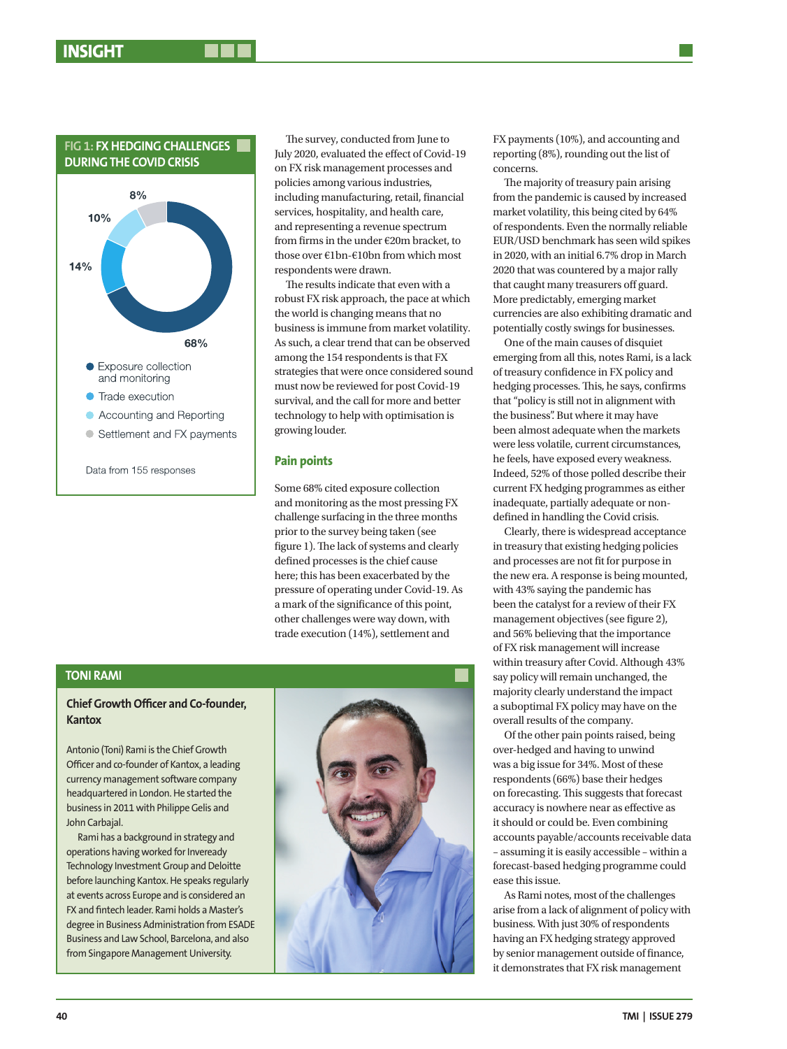

Data from 155 responses

The survey, conducted from June to July 2020, evaluated the effect of Covid-19 on FX risk management processes and policies among various industries, including manufacturing, retail, financial services, hospitality, and health care, and representing a revenue spectrum from firms in the under €20m bracket, to those over €1bn-€10bn from which most respondents were drawn.

The results indicate that even with a robust FX risk approach, the pace at which the world is changing means that no business is immune from market volatility. As such, a clear trend that can be observed among the 154 respondents is that FX strategies that were once considered sound must now be reviewed for post Covid-19 survival, and the call for more and better technology to help with optimisation is growing louder.

## **Pain points**

Some 68% cited exposure collection and monitoring as the most pressing FX challenge surfacing in the three months prior to the survey being taken (see figure 1). The lack of systems and clearly defined processes is the chief cause here; this has been exacerbated by the pressure of operating under Covid-19. As a mark of the significance of this point, other challenges were way down, with trade execution (14%), settlement and

**TONI RAMI**

## **Chief Growth Officer and Co-founder, Kantox**

Antonio (Toni) Rami is the Chief Growth Officer and co-founder of Kantox, a leading currency management software company headquartered in London. He started the business in 2011 with Philippe Gelis and John Carbajal.

Rami has a background in strategy and operations having worked for Inveready Technology Investment Group and Deloitte before launching Kantox. He speaks regularly at events across Europe and is considered an FX and fintech leader. Rami holds a Master's degree in Business Administration from ESADE Business and Law School, Barcelona, and also from Singapore Management University.



FX payments (10%), and accounting and reporting (8%), rounding out the list of concerns.

The majority of treasury pain arising from the pandemic is caused by increased market volatility, this being cited by 64% of respondents. Even the normally reliable EUR/USD benchmark has seen wild spikes in 2020, with an initial 6.7% drop in March 2020 that was countered by a major rally that caught many treasurers off guard. More predictably, emerging market currencies are also exhibiting dramatic and potentially costly swings for businesses.

One of the main causes of disquiet emerging from all this, notes Rami, is a lack of treasury confidence in FX policy and hedging processes. This, he says, confirms that "policy is still not in alignment with the business". But where it may have been almost adequate when the markets were less volatile, current circumstances, he feels, have exposed every weakness. Indeed, 52% of those polled describe their current FX hedging programmes as either inadequate, partially adequate or nondefined in handling the Covid crisis.

Clearly, there is widespread acceptance in treasury that existing hedging policies and processes are not fit for purpose in the new era. A response is being mounted, with 43% saying the pandemic has been the catalyst for a review of their FX management objectives (see figure 2), and 56% believing that the importance of FX risk management will increase within treasury after Covid. Although 43% say policy will remain unchanged, the majority clearly understand the impact a suboptimal FX policy may have on the overall results of the company.

Of the other pain points raised, being over-hedged and having to unwind was a big issue for 34%. Most of these respondents (66%) base their hedges on forecasting. This suggests that forecast accuracy is nowhere near as effective as it should or could be. Even combining accounts payable/accounts receivable data – assuming it is easily accessible – within a forecast-based hedging programme could ease this issue.

As Rami notes, most of the challenges arise from a lack of alignment of policy with business. With just 30% of respondents having an FX hedging strategy approved by senior management outside of finance, it demonstrates that FX risk management